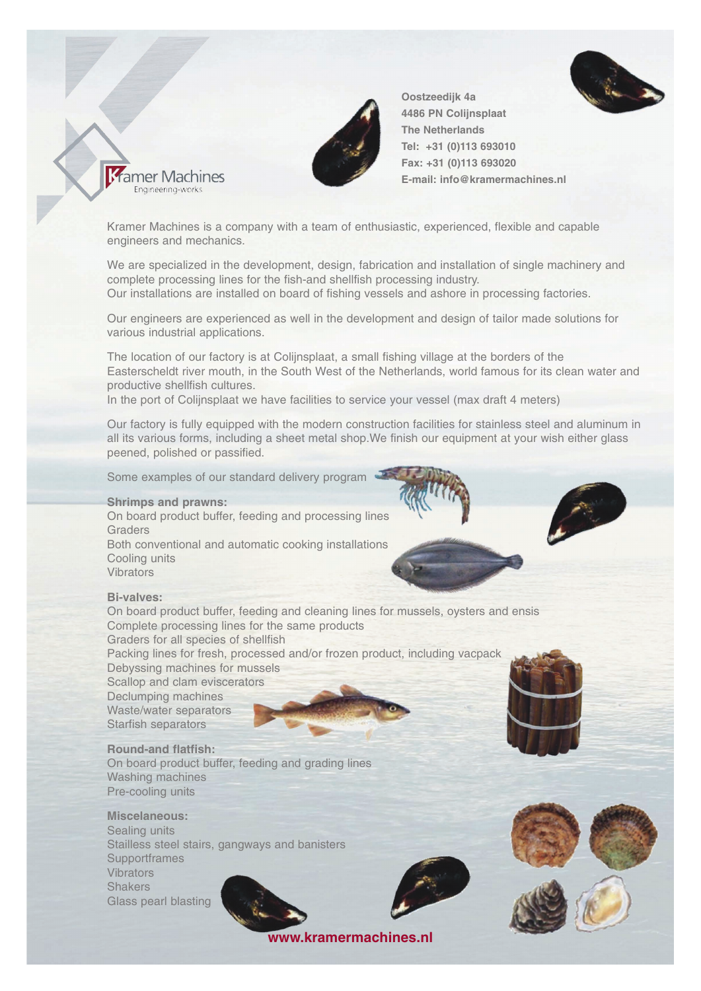



**Oostzeedijk 4a 4486 PN Colijnsplaat The Netherlands Tel: +31 (0)113 693010 Fax: +31 (0)113 693020 E-mail: info@kramermachines.nl**

Kramer Machines is a company with a team of enthusiastic, experienced, flexible and capable engineers and mechanics.

We are specialized in the development, design, fabrication and installation of single machinery and complete processing lines for the fish-and shellfish processing industry. Our installations are installed on board of fishing vessels and ashore in processing factories.

Our engineers are experienced as well in the development and design of tailor made solutions for various industrial applications.

The location of our factory is at Colijnsplaat, a small fishing village at the borders of the Easterscheldt river mouth, in the South West of the Netherlands, world famous for its clean water and productive shellfish cultures.

In the port of Colijnsplaat we have facilities to service your vessel (max draft 4 meters)

Our factory is fully equipped with the modern construction facilities for stainless steel and aluminum in all its various forms, including a sheet metal shop.We finish our equipment at your wish either glass peened, polished or passified.

Some examples of our standard delivery program

## **Shrimps and prawns:**

Kramer Machines Engineering-works

On board product buffer, feeding and processing lines **Graders** Both conventional and automatic cooking installations Cooling units Vibrators

## **Bi-valves:**

On board product buffer, feeding and cleaning lines for mussels, oysters and ensis Complete processing lines for the same products Graders for all species of shellfish Packing lines for fresh, processed and/or frozen product, including vacpack Debyssing machines for mussels Scallop and clam eviscerators Declumping machines Waste/water separators Starfish separators

**Round-and flatfish:** On board product buffer, feeding and grading lines Washing machines Pre-cooling units

**Miscelaneous:** Sealing units Stailless steel stairs, gangways and banisters **Supportframes Vibrators Shakers** Glass pearl blasting





**www.kramermachines.nl**